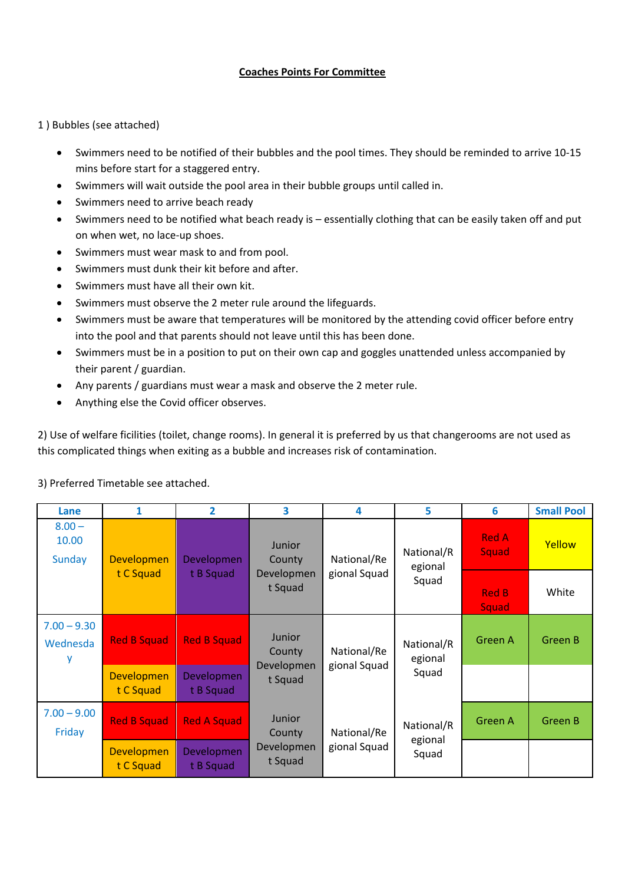## **Coaches Points For Committee**

1 ) Bubbles (see attached)

- Swimmers need to be notified of their bubbles and the pool times. They should be reminded to arrive 10‐15 mins before start for a staggered entry.
- Swimmers will wait outside the pool area in their bubble groups until called in.
- Swimmers need to arrive beach ready
- Swimmers need to be notified what beach ready is essentially clothing that can be easily taken off and put on when wet, no lace‐up shoes.
- Swimmers must wear mask to and from pool.
- Swimmers must dunk their kit before and after.
- Swimmers must have all their own kit.
- Swimmers must observe the 2 meter rule around the lifeguards.
- Swimmers must be aware that temperatures will be monitored by the attending covid officer before entry into the pool and that parents should not leave until this has been done.
- Swimmers must be in a position to put on their own cap and goggles unattended unless accompanied by their parent / guardian.
- Any parents / guardians must wear a mask and observe the 2 meter rule.
- Anything else the Covid officer observes.

2) Use of welfare ficilities (toilet, change rooms). In general it is preferred by us that changerooms are not used as this complicated things when exiting as a bubble and increases risk of contamination.

| Lane                               | 1                              | $\overline{2}$                 | 3                                                | 4                           | 5                              | 6                     | <b>Small Pool</b> |
|------------------------------------|--------------------------------|--------------------------------|--------------------------------------------------|-----------------------------|--------------------------------|-----------------------|-------------------|
| $8.00 -$<br>10.00<br><b>Sunday</b> | <b>Developmen</b>              | <b>Developmen</b>              | <b>Junior</b><br>County<br>Developmen<br>t Squad | National/Re<br>gional Squad | National/R<br>egional<br>Squad | <b>Red A</b><br>Squad | Yellow            |
|                                    | t C Squad                      | t B Squad                      |                                                  |                             |                                | <b>Red B</b><br>Squad | White             |
| $7.00 - 9.30$<br>Wednesda<br>у     | <b>Red B Squad</b>             | <b>Red B Squad</b>             | <b>Junior</b><br>County<br>Developmen<br>t Squad | National/Re<br>gional Squad | National/R<br>egional<br>Squad | Green A               | Green B           |
|                                    | <b>Developmen</b><br>t C Squad | <b>Developmen</b><br>t B Squad |                                                  |                             |                                |                       |                   |
| $7.00 - 9.00$<br>Friday            | <b>Red B Squad</b>             | <b>Red A Squad</b>             | <b>Junior</b><br>County<br>Developmen<br>t Squad | National/Re<br>gional Squad | National/R<br>egional<br>Squad | Green A               | <b>Green B</b>    |
|                                    | <b>Developmen</b><br>t C Squad | <b>Developmen</b><br>t B Squad |                                                  |                             |                                |                       |                   |

## 3) Preferred Timetable see attached.